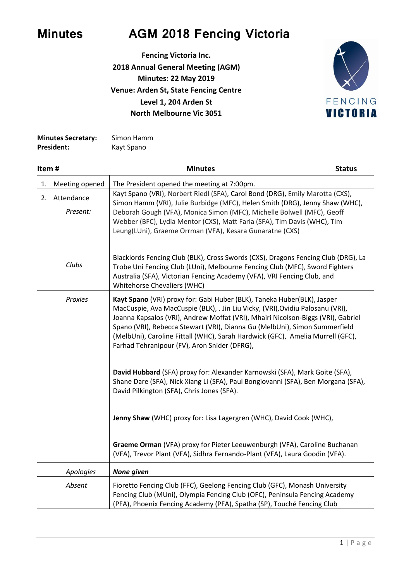

## **Minutes AGM 2018 Fencing Victoria**

**Fencing Victoria Inc. 2018 Annual General Meeting (AGM) Minutes: 22 May 2019 Venue: Arden St, State Fencing Centre Level 1, 204 Arden St North Melbourne Vic 3051**



| <b>Minutes Secretary:</b> | Simon Hamm |
|---------------------------|------------|
| President:                | Kayt Spano |

| Item# |                           | <b>Minutes</b>                                                                                                                                                                                                                                                                                                                                                                                                                                                | <b>Status</b> |
|-------|---------------------------|---------------------------------------------------------------------------------------------------------------------------------------------------------------------------------------------------------------------------------------------------------------------------------------------------------------------------------------------------------------------------------------------------------------------------------------------------------------|---------------|
| 1.    | Meeting opened            | The President opened the meeting at 7:00pm.                                                                                                                                                                                                                                                                                                                                                                                                                   |               |
|       | 2. Attendance<br>Present: | Kayt Spano (VRI), Norbert Riedl (SFA), Carol Bond (DRG), Emily Marotta (CXS),<br>Simon Hamm (VRI), Julie Burbidge (MFC), Helen Smith (DRG), Jenny Shaw (WHC),<br>Deborah Gough (VFA), Monica Simon (MFC), Michelle Bolwell (MFC), Geoff<br>Webber (BFC), Lydia Mentor (CXS), Matt Faria (SFA), Tim Davis (WHC), Tim<br>Leung(LUni), Graeme Orrman (VFA), Kesara Gunaratne (CXS)                                                                               |               |
|       | Clubs                     | Blacklords Fencing Club (BLK), Cross Swords (CXS), Dragons Fencing Club (DRG), La<br>Trobe Uni Fencing Club (LUni), Melbourne Fencing Club (MFC), Sword Fighters<br>Australia (SFA), Victorian Fencing Academy (VFA), VRI Fencing Club, and<br>Whitehorse Chevaliers (WHC)                                                                                                                                                                                    |               |
|       | Proxies                   | Kayt Spano (VRI) proxy for: Gabi Huber (BLK), Taneka Huber(BLK), Jasper<br>MacCuspie, Ava MacCuspie (BLK), . Jin Liu Vicky, (VRI), Ovidiu Palosanu (VRI),<br>Joanna Kapsalos (VRI), Andrew Moffat (VRI), Mhairi Nicolson-Biggs (VRI), Gabriel<br>Spano (VRI), Rebecca Stewart (VRI), Dianna Gu (MelbUni), Simon Summerfield<br>(MelbUni), Caroline Fittall (WHC), Sarah Hardwick (GFC), Amelia Murrell (GFC),<br>Farhad Tehranipour (FV), Aron Snider (DFRG), |               |
|       |                           | David Hubbard (SFA) proxy for: Alexander Karnowski (SFA), Mark Goite (SFA),<br>Shane Dare (SFA), Nick Xiang Li (SFA), Paul Bongiovanni (SFA), Ben Morgana (SFA),<br>David Pilkington (SFA), Chris Jones (SFA).                                                                                                                                                                                                                                                |               |
|       |                           | Jenny Shaw (WHC) proxy for: Lisa Lagergren (WHC), David Cook (WHC),                                                                                                                                                                                                                                                                                                                                                                                           |               |
|       |                           | Graeme Orman (VFA) proxy for Pieter Leeuwenburgh (VFA), Caroline Buchanan<br>(VFA), Trevor Plant (VFA), Sidhra Fernando-Plant (VFA), Laura Goodin (VFA).                                                                                                                                                                                                                                                                                                      |               |
|       | Apologies                 | None given                                                                                                                                                                                                                                                                                                                                                                                                                                                    |               |
|       | Absent                    | Fioretto Fencing Club (FFC), Geelong Fencing Club (GFC), Monash University<br>Fencing Club (MUni), Olympia Fencing Club (OFC), Peninsula Fencing Academy<br>(PFA), Phoenix Fencing Academy (PFA), Spatha (SP), Touché Fencing Club                                                                                                                                                                                                                            |               |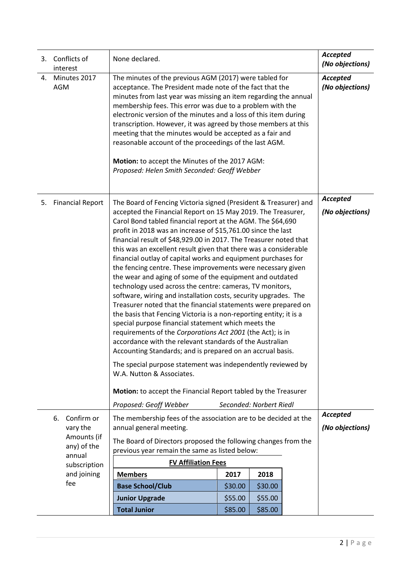|    | 3. Conflicts of<br>interest | None declared.                                                                                                                                                                                                                                                                                                                                                                                                                                                                                                                                                                                                                                                                                                                                                                                                                                                                                                                                                                                                                                                                                                                                                                                                                                                                           |                         |         |                             | <b>Accepted</b><br>(No objections) |
|----|-----------------------------|------------------------------------------------------------------------------------------------------------------------------------------------------------------------------------------------------------------------------------------------------------------------------------------------------------------------------------------------------------------------------------------------------------------------------------------------------------------------------------------------------------------------------------------------------------------------------------------------------------------------------------------------------------------------------------------------------------------------------------------------------------------------------------------------------------------------------------------------------------------------------------------------------------------------------------------------------------------------------------------------------------------------------------------------------------------------------------------------------------------------------------------------------------------------------------------------------------------------------------------------------------------------------------------|-------------------------|---------|-----------------------------|------------------------------------|
| 4. | Minutes 2017<br><b>AGM</b>  | The minutes of the previous AGM (2017) were tabled for<br>acceptance. The President made note of the fact that the<br>minutes from last year was missing an item regarding the annual<br>membership fees. This error was due to a problem with the<br>electronic version of the minutes and a loss of this item during<br>transcription. However, it was agreed by those members at this<br>meeting that the minutes would be accepted as a fair and<br>reasonable account of the proceedings of the last AGM.<br>Motion: to accept the Minutes of the 2017 AGM:<br>Proposed: Helen Smith Seconded: Geoff Webber                                                                                                                                                                                                                                                                                                                                                                                                                                                                                                                                                                                                                                                                         |                         |         |                             | Accepted<br>(No objections)        |
| 5. | <b>Financial Report</b>     | The Board of Fencing Victoria signed (President & Treasurer) and<br>accepted the Financial Report on 15 May 2019. The Treasurer,<br>Carol Bond tabled financial report at the AGM. The \$64,690<br>profit in 2018 was an increase of \$15,761.00 since the last<br>financial result of \$48,929.00 in 2017. The Treasurer noted that<br>this was an excellent result given that there was a considerable<br>financial outlay of capital works and equipment purchases for<br>the fencing centre. These improvements were necessary given<br>the wear and aging of some of the equipment and outdated<br>technology used across the centre: cameras, TV monitors,<br>software, wiring and installation costs, security upgrades. The<br>Treasurer noted that the financial statements were prepared on<br>the basis that Fencing Victoria is a non-reporting entity; it is a<br>special purpose financial statement which meets the<br>requirements of the Corporations Act 2001 (the Act); is in<br>accordance with the relevant standards of the Australian<br>Accounting Standards; and is prepared on an accrual basis.<br>The special purpose statement was independently reviewed by<br>W.A. Nutton & Associates.<br>Motion: to accept the Financial Report tabled by the Treasurer |                         |         | Accepted<br>(No objections) |                                    |
|    |                             | Proposed: Geoff Webber                                                                                                                                                                                                                                                                                                                                                                                                                                                                                                                                                                                                                                                                                                                                                                                                                                                                                                                                                                                                                                                                                                                                                                                                                                                                   | Seconded: Norbert Riedl |         |                             |                                    |
|    | Confirm or<br>6.            | The membership fees of the association are to be decided at the                                                                                                                                                                                                                                                                                                                                                                                                                                                                                                                                                                                                                                                                                                                                                                                                                                                                                                                                                                                                                                                                                                                                                                                                                          |                         |         |                             | <b>Accepted</b>                    |
|    | vary the<br>Amounts (if     | annual general meeting.                                                                                                                                                                                                                                                                                                                                                                                                                                                                                                                                                                                                                                                                                                                                                                                                                                                                                                                                                                                                                                                                                                                                                                                                                                                                  |                         |         |                             | (No objections)                    |
|    | any) of the                 | The Board of Directors proposed the following changes from the<br>previous year remain the same as listed below:                                                                                                                                                                                                                                                                                                                                                                                                                                                                                                                                                                                                                                                                                                                                                                                                                                                                                                                                                                                                                                                                                                                                                                         |                         |         |                             |                                    |
|    | annual<br>subscription      | <b>FV Affiliation Fees</b>                                                                                                                                                                                                                                                                                                                                                                                                                                                                                                                                                                                                                                                                                                                                                                                                                                                                                                                                                                                                                                                                                                                                                                                                                                                               |                         |         |                             |                                    |
|    | and joining                 | <b>Members</b>                                                                                                                                                                                                                                                                                                                                                                                                                                                                                                                                                                                                                                                                                                                                                                                                                                                                                                                                                                                                                                                                                                                                                                                                                                                                           | 2017                    | 2018    |                             |                                    |
|    | fee                         | <b>Base School/Club</b>                                                                                                                                                                                                                                                                                                                                                                                                                                                                                                                                                                                                                                                                                                                                                                                                                                                                                                                                                                                                                                                                                                                                                                                                                                                                  | \$30.00                 | \$30.00 |                             |                                    |
|    |                             | <b>Junior Upgrade</b>                                                                                                                                                                                                                                                                                                                                                                                                                                                                                                                                                                                                                                                                                                                                                                                                                                                                                                                                                                                                                                                                                                                                                                                                                                                                    | \$55.00                 | \$55.00 |                             |                                    |
|    |                             | <b>Total Junior</b>                                                                                                                                                                                                                                                                                                                                                                                                                                                                                                                                                                                                                                                                                                                                                                                                                                                                                                                                                                                                                                                                                                                                                                                                                                                                      | \$85.00                 | \$85.00 |                             |                                    |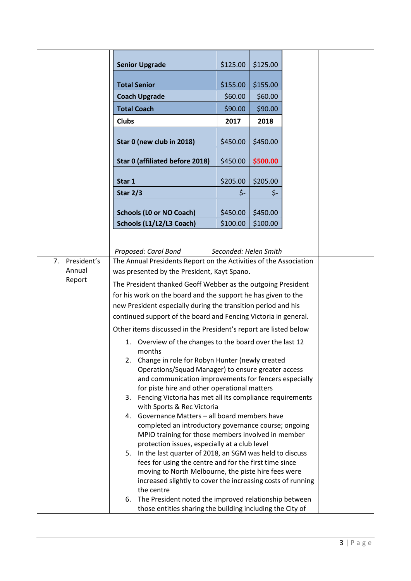|                   | <b>Senior Upgrade</b>                                                                                       | \$125.00                                                                                                    | \$125.00  |  |  |
|-------------------|-------------------------------------------------------------------------------------------------------------|-------------------------------------------------------------------------------------------------------------|-----------|--|--|
|                   | <b>Total Senior</b>                                                                                         | \$155.00                                                                                                    | \$155.00  |  |  |
|                   | <b>Coach Upgrade</b>                                                                                        | \$60.00                                                                                                     | \$60.00   |  |  |
|                   | <b>Total Coach</b>                                                                                          | \$90.00                                                                                                     | \$90.00   |  |  |
|                   |                                                                                                             |                                                                                                             |           |  |  |
|                   | <b>Clubs</b>                                                                                                | 2017                                                                                                        | 2018      |  |  |
|                   | Star 0 (new club in 2018)                                                                                   | \$450.00                                                                                                    | \$450.00  |  |  |
|                   | Star 0 (affiliated before 2018)                                                                             | \$450.00                                                                                                    | \$500.00  |  |  |
|                   | Star 1                                                                                                      | \$205.00                                                                                                    | \$205.00  |  |  |
|                   | <b>Star 2/3</b>                                                                                             | \$-                                                                                                         | $\zeta$ - |  |  |
|                   | <b>Schools (LO or NO Coach)</b>                                                                             | \$450.00                                                                                                    | \$450.00  |  |  |
|                   | Schools (L1/L2/L3 Coach)                                                                                    | \$100.00                                                                                                    | \$100.00  |  |  |
| President's<br>7. | Proposed: Carol Bond<br>The Annual Presidents Report on the Activities of the Association                   | Seconded: Helen Smith                                                                                       |           |  |  |
| Annual            | was presented by the President, Kayt Spano.                                                                 |                                                                                                             |           |  |  |
| Report            | The President thanked Geoff Webber as the outgoing President                                                |                                                                                                             |           |  |  |
|                   | for his work on the board and the support he has given to the                                               |                                                                                                             |           |  |  |
|                   | new President especially during the transition period and his                                               |                                                                                                             |           |  |  |
|                   | continued support of the board and Fencing Victoria in general.                                             |                                                                                                             |           |  |  |
|                   | Other items discussed in the President's report are listed below                                            |                                                                                                             |           |  |  |
|                   | Overview of the changes to the board over the last 12<br>1.<br>months                                       |                                                                                                             |           |  |  |
|                   | 2. Change in role for Robyn Hunter (newly created                                                           |                                                                                                             |           |  |  |
|                   | Operations/Squad Manager) to ensure greater access<br>and communication improvements for fencers especially |                                                                                                             |           |  |  |
|                   |                                                                                                             |                                                                                                             |           |  |  |
|                   |                                                                                                             | for piste hire and other operational matters<br>3. Fencing Victoria has met all its compliance requirements |           |  |  |
|                   | with Sports & Rec Victoria                                                                                  |                                                                                                             |           |  |  |
|                   | Governance Matters - all board members have<br>4.                                                           |                                                                                                             |           |  |  |
|                   | completed an introductory governance course; ongoing                                                        |                                                                                                             |           |  |  |
|                   | MPIO training for those members involved in member<br>protection issues, especially at a club level         |                                                                                                             |           |  |  |
|                   | In the last quarter of 2018, an SGM was held to discuss<br>5.                                               |                                                                                                             |           |  |  |
|                   | fees for using the centre and for the first time since                                                      |                                                                                                             |           |  |  |
|                   | moving to North Melbourne, the piste hire fees were                                                         |                                                                                                             |           |  |  |
|                   | increased slightly to cover the increasing costs of running<br>the centre                                   |                                                                                                             |           |  |  |
|                   | The President noted the improved relationship between<br>6.                                                 |                                                                                                             |           |  |  |
|                   | those entities sharing the building including the City of                                                   |                                                                                                             |           |  |  |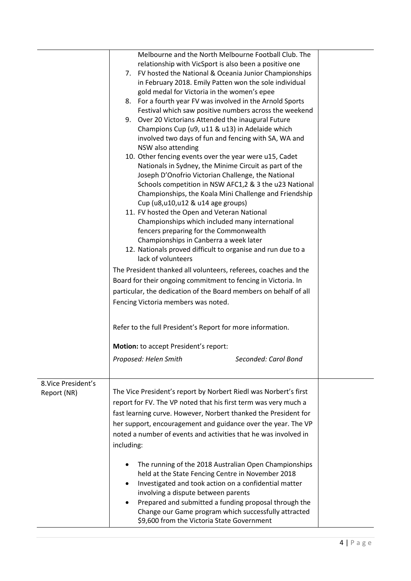|                     | Melbourne and the North Melbourne Football Club. The             |  |
|---------------------|------------------------------------------------------------------|--|
|                     | relationship with VicSport is also been a positive one           |  |
|                     | FV hosted the National & Oceania Junior Championships<br>7.      |  |
|                     | in February 2018. Emily Patten won the sole individual           |  |
|                     | gold medal for Victoria in the women's epee                      |  |
|                     | 8. For a fourth year FV was involved in the Arnold Sports        |  |
|                     | Festival which saw positive numbers across the weekend           |  |
|                     | 9. Over 20 Victorians Attended the inaugural Future              |  |
|                     | Champions Cup (u9, u11 & u13) in Adelaide which                  |  |
|                     | involved two days of fun and fencing with SA, WA and             |  |
|                     | NSW also attending                                               |  |
|                     | 10. Other fencing events over the year were u15, Cadet           |  |
|                     | Nationals in Sydney, the Minime Circuit as part of the           |  |
|                     | Joseph D'Onofrio Victorian Challenge, the National               |  |
|                     | Schools competition in NSW AFC1,2 & 3 the u23 National           |  |
|                     | Championships, the Koala Mini Challenge and Friendship           |  |
|                     | Cup (u8,u10,u12 & u14 age groups)                                |  |
|                     | 11. FV hosted the Open and Veteran National                      |  |
|                     | Championships which included many international                  |  |
|                     | fencers preparing for the Commonwealth                           |  |
|                     | Championships in Canberra a week later                           |  |
|                     | 12. Nationals proved difficult to organise and run due to a      |  |
|                     | lack of volunteers                                               |  |
|                     | The President thanked all volunteers, referees, coaches and the  |  |
|                     | Board for their ongoing commitment to fencing in Victoria. In    |  |
|                     | particular, the dedication of the Board members on behalf of all |  |
|                     | Fencing Victoria members was noted.                              |  |
|                     |                                                                  |  |
|                     | Refer to the full President's Report for more information.       |  |
|                     |                                                                  |  |
|                     | Motion: to accept President's report:                            |  |
|                     | Proposed: Helen Smith<br>Seconded: Carol Bond                    |  |
|                     |                                                                  |  |
| 8. Vice President's |                                                                  |  |
| Report (NR)         | The Vice President's report by Norbert Riedl was Norbert's first |  |
|                     | report for FV. The VP noted that his first term was very much a  |  |
|                     | fast learning curve. However, Norbert thanked the President for  |  |
|                     | her support, encouragement and guidance over the year. The VP    |  |
|                     | noted a number of events and activities that he was involved in  |  |
|                     | including:                                                       |  |
|                     |                                                                  |  |
|                     | The running of the 2018 Australian Open Championships            |  |
|                     | held at the State Fencing Centre in November 2018                |  |
|                     | Investigated and took action on a confidential matter            |  |
|                     | involving a dispute between parents                              |  |
|                     | Prepared and submitted a funding proposal through the            |  |
|                     | Change our Game program which successfully attracted             |  |
|                     | \$9,600 from the Victoria State Government                       |  |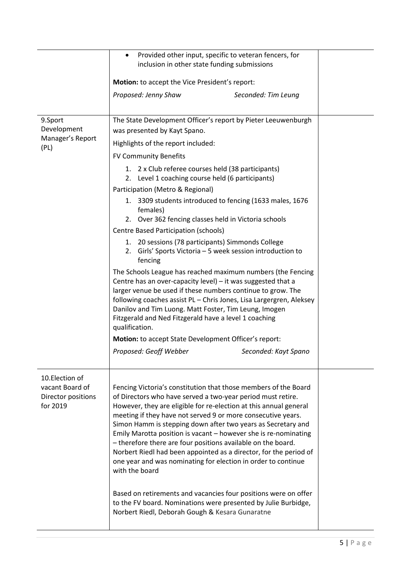| Provided other input, specific to veteran fencers, for<br>inclusion in other state funding submissions |                                                                                                                                                                                                                                                                                                                                                                                                                                                                                                 |                                                                                                                                                                                                                                                                                                                                                                                                                                                                                                                                                                                                                                                                                                                                                   |  |
|--------------------------------------------------------------------------------------------------------|-------------------------------------------------------------------------------------------------------------------------------------------------------------------------------------------------------------------------------------------------------------------------------------------------------------------------------------------------------------------------------------------------------------------------------------------------------------------------------------------------|---------------------------------------------------------------------------------------------------------------------------------------------------------------------------------------------------------------------------------------------------------------------------------------------------------------------------------------------------------------------------------------------------------------------------------------------------------------------------------------------------------------------------------------------------------------------------------------------------------------------------------------------------------------------------------------------------------------------------------------------------|--|
|                                                                                                        | Motion: to accept the Vice President's report:                                                                                                                                                                                                                                                                                                                                                                                                                                                  |                                                                                                                                                                                                                                                                                                                                                                                                                                                                                                                                                                                                                                                                                                                                                   |  |
|                                                                                                        | Proposed: Jenny Shaw                                                                                                                                                                                                                                                                                                                                                                                                                                                                            | Seconded: Tim Leung                                                                                                                                                                                                                                                                                                                                                                                                                                                                                                                                                                                                                                                                                                                               |  |
| 9.Sport<br>Development<br>Manager's Report<br>(PL)                                                     | was presented by Kayt Spano.<br>Highlights of the report included:<br><b>FV Community Benefits</b><br>1. 2 x Club referee courses held (38 participants)<br>2.<br>Participation (Metro & Regional)<br>females)<br>Centre Based Participation (schools)<br>fencing<br>Danilov and Tim Luong. Matt Foster, Tim Leung, Imogen<br>Fitzgerald and Ned Fitzgerald have a level 1 coaching<br>qualification.<br><b>Motion:</b> to accept State Development Officer's report:<br>Proposed: Geoff Webber | The State Development Officer's report by Pieter Leeuwenburgh<br>Level 1 coaching course held (6 participants)<br>1. 3309 students introduced to fencing (1633 males, 1676<br>2. Over 362 fencing classes held in Victoria schools<br>1. 20 sessions (78 participants) Simmonds College<br>2. Girls' Sports Victoria - 5 week session introduction to<br>The Schools League has reached maximum numbers (the Fencing<br>Centre has an over-capacity level) - it was suggested that a<br>larger venue be used if these numbers continue to grow. The<br>following coaches assist PL - Chris Jones, Lisa Largergren, Aleksey<br>Seconded: Kayt Spano                                                                                                |  |
| 10. Election of<br>vacant Board of<br>Director positions<br>for 2019                                   | with the board<br>Norbert Riedl, Deborah Gough & Kesara Gunaratne                                                                                                                                                                                                                                                                                                                                                                                                                               | Fencing Victoria's constitution that those members of the Board<br>of Directors who have served a two-year period must retire.<br>However, they are eligible for re-election at this annual general<br>meeting if they have not served 9 or more consecutive years.<br>Simon Hamm is stepping down after two years as Secretary and<br>Emily Marotta position is vacant - however she is re-nominating<br>- therefore there are four positions available on the board.<br>Norbert Riedl had been appointed as a director, for the period of<br>one year and was nominating for election in order to continue<br>Based on retirements and vacancies four positions were on offer<br>to the FV board. Nominations were presented by Julie Burbidge, |  |